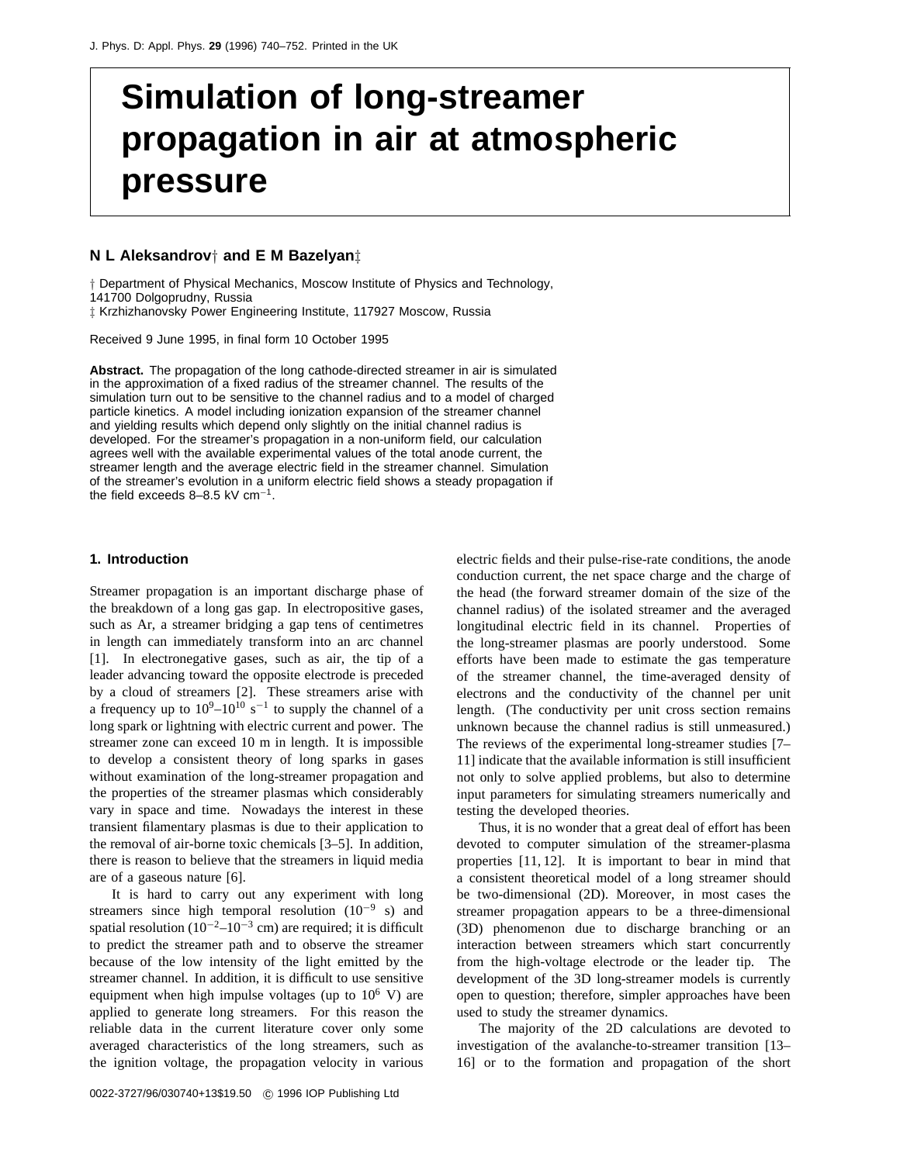# **Simulation of long-streamer propagation in air at atmospheric pressure**

#### **N L Aleksandrov***†* **and E M Bazelyan***‡*

*†* Department of Physical Mechanics, Moscow Institute of Physics and Technology,

141700 Dolgoprudny, Russia

*‡* Krzhizhanovsky Power Engineering Institute, 117927 Moscow, Russia

Received 9 June 1995, in final form 10 October 1995

**Abstract.** The propagation of the long cathode-directed streamer in air is simulated in the approximation of a fixed radius of the streamer channel. The results of the simulation turn out to be sensitive to the channel radius and to a model of charged particle kinetics. A model including ionization expansion of the streamer channel and yielding results which depend only slightly on the initial channel radius is developed. For the streamer's propagation in a non-uniform field, our calculation agrees well with the available experimental values of the total anode current, the streamer length and the average electric field in the streamer channel. Simulation of the streamer's evolution in a uniform electric field shows a steady propagation if the field exceeds 8–8.5 kV cm<sup>-1</sup>.

#### **1. Introduction**

Streamer propagation is an important discharge phase of the breakdown of a long gas gap. In electropositive gases, such as Ar, a streamer bridging a gap tens of centimetres in length can immediately transform into an arc channel [1]. In electronegative gases, such as air, the tip of a leader advancing toward the opposite electrode is preceded by a cloud of streamers [2]. These streamers arise with a frequency up to  $10^9-10^{10}$  s<sup>-1</sup> to supply the channel of a long spark or lightning with electric current and power. The streamer zone can exceed 10 m in length. It is impossible to develop a consistent theory of long sparks in gases without examination of the long-streamer propagation and the properties of the streamer plasmas which considerably vary in space and time. Nowadays the interest in these transient filamentary plasmas is due to their application to the removal of air-borne toxic chemicals [3–5]. In addition, there is reason to believe that the streamers in liquid media are of a gaseous nature [6].

It is hard to carry out any experiment with long streamers since high temporal resolution  $(10^{-9} s)$  and spatial resolution ( $10^{-2}$ – $10^{-3}$  cm) are required; it is difficult to predict the streamer path and to observe the streamer because of the low intensity of the light emitted by the streamer channel. In addition, it is difficult to use sensitive equipment when high impulse voltages (up to  $10^6$  V) are applied to generate long streamers. For this reason the reliable data in the current literature cover only some averaged characteristics of the long streamers, such as the ignition voltage, the propagation velocity in various

0022-3727/96/030740+13\$19.50 c 1996 IOP Publishing Ltd

electric fields and their pulse-rise-rate conditions, the anode conduction current, the net space charge and the charge of the head (the forward streamer domain of the size of the channel radius) of the isolated streamer and the averaged longitudinal electric field in its channel. Properties of the long-streamer plasmas are poorly understood. Some efforts have been made to estimate the gas temperature of the streamer channel, the time-averaged density of electrons and the conductivity of the channel per unit length. (The conductivity per unit cross section remains unknown because the channel radius is still unmeasured.) The reviews of the experimental long-streamer studies [7– 11] indicate that the available information is still insufficient not only to solve applied problems, but also to determine input parameters for simulating streamers numerically and testing the developed theories.

Thus, it is no wonder that a great deal of effort has been devoted to computer simulation of the streamer-plasma properties [11, 12]. It is important to bear in mind that a consistent theoretical model of a long streamer should be two-dimensional (2D). Moreover, in most cases the streamer propagation appears to be a three-dimensional (3D) phenomenon due to discharge branching or an interaction between streamers which start concurrently from the high-voltage electrode or the leader tip. The development of the 3D long-streamer models is currently open to question; therefore, simpler approaches have been used to study the streamer dynamics.

The majority of the 2D calculations are devoted to investigation of the avalanche-to-streamer transition [13– 16] or to the formation and propagation of the short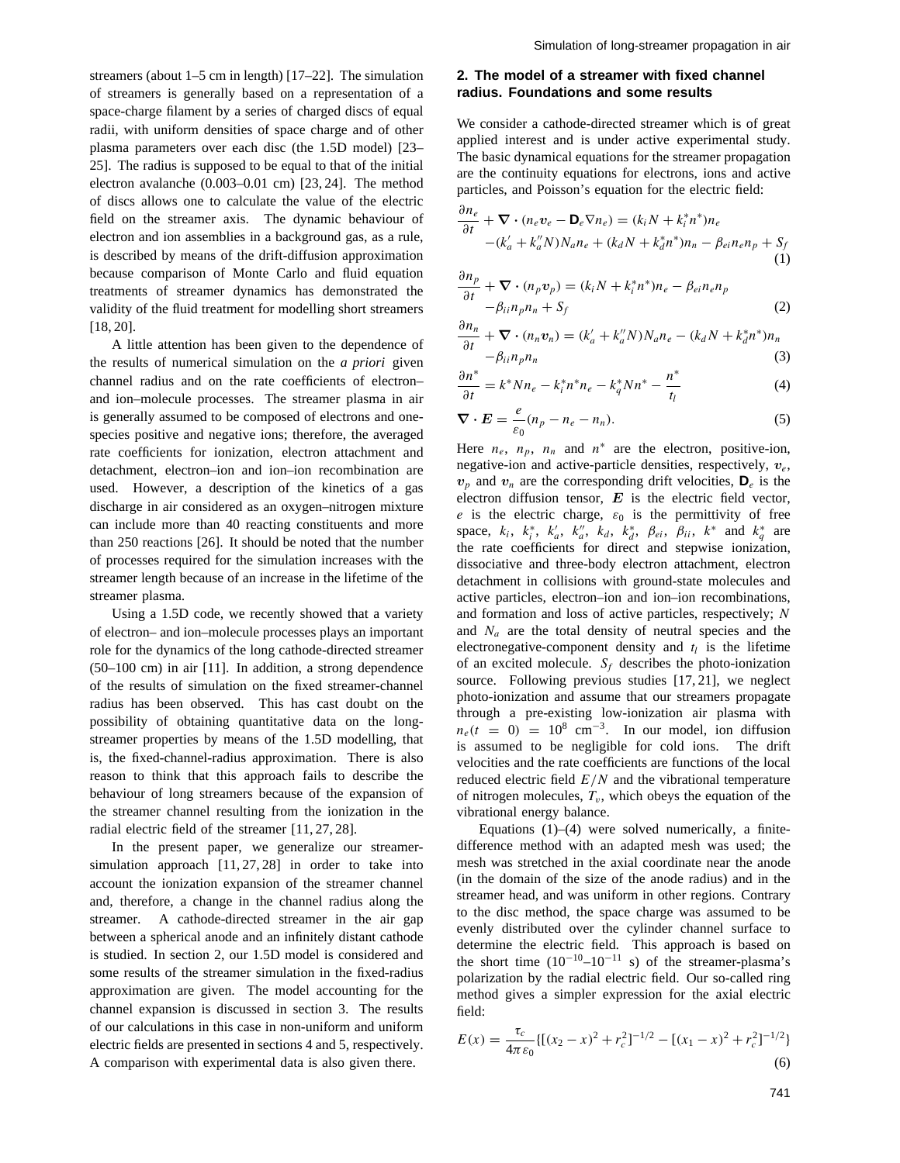streamers (about 1–5 cm in length) [17–22]. The simulation of streamers is generally based on a representation of a space-charge filament by a series of charged discs of equal radii, with uniform densities of space charge and of other plasma parameters over each disc (the 1.5D model) [23– 25]. The radius is supposed to be equal to that of the initial electron avalanche (0.003–0.01 cm) [23, 24]. The method of discs allows one to calculate the value of the electric field on the streamer axis. The dynamic behaviour of electron and ion assemblies in a background gas, as a rule, is described by means of the drift-diffusion approximation because comparison of Monte Carlo and fluid equation treatments of streamer dynamics has demonstrated the validity of the fluid treatment for modelling short streamers [18, 20].

A little attention has been given to the dependence of the results of numerical simulation on the *a priori* given channel radius and on the rate coefficients of electron– and ion–molecule processes. The streamer plasma in air is generally assumed to be composed of electrons and onespecies positive and negative ions; therefore, the averaged rate coefficients for ionization, electron attachment and detachment, electron–ion and ion–ion recombination are used. However, a description of the kinetics of a gas discharge in air considered as an oxygen–nitrogen mixture can include more than 40 reacting constituents and more than 250 reactions [26]. It should be noted that the number of processes required for the simulation increases with the streamer length because of an increase in the lifetime of the streamer plasma.

Using a 1.5D code, we recently showed that a variety of electron– and ion–molecule processes plays an important role for the dynamics of the long cathode-directed streamer (50–100 cm) in air [11]. In addition, a strong dependence of the results of simulation on the fixed streamer-channel radius has been observed. This has cast doubt on the possibility of obtaining quantitative data on the longstreamer properties by means of the 1.5D modelling, that is, the fixed-channel-radius approximation. There is also reason to think that this approach fails to describe the behaviour of long streamers because of the expansion of the streamer channel resulting from the ionization in the radial electric field of the streamer [11, 27, 28].

In the present paper, we generalize our streamersimulation approach [11, 27, 28] in order to take into account the ionization expansion of the streamer channel and, therefore, a change in the channel radius along the streamer. A cathode-directed streamer in the air gap between a spherical anode and an infinitely distant cathode is studied. In section 2, our 1.5D model is considered and some results of the streamer simulation in the fixed-radius approximation are given. The model accounting for the channel expansion is discussed in section 3. The results of our calculations in this case in non-uniform and uniform electric fields are presented in sections 4 and 5, respectively. A comparison with experimental data is also given there.

## **2. The model of a streamer with fixed channel radius. Foundations and some results**

We consider a cathode-directed streamer which is of great applied interest and is under active experimental study. The basic dynamical equations for the streamer propagation are the continuity equations for electrons, ions and active particles, and Poisson's equation for the electric field: *∂ne*

$$
\frac{\partial n_e}{\partial t} + \nabla \cdot (n_e v_e - \mathbf{D}_e \nabla n_e) = (k_i N + k_i^* n^*) n_e
$$
  
 
$$
- (k'_a + k''_a N) N_a n_e + (k_d N + k_d^* n^*) n_n - \beta_{ei} n_e n_p + S_f
$$
  
(1)

$$
\frac{\partial n_p}{\partial t} + \nabla \cdot (n_p v_p) = (k_i N + k_i^* n^*) n_e - \beta_{ei} n_e n_p
$$
  

$$
-\beta_{ii} n_p n_n + S_f
$$
 (2)

$$
\frac{\partial n_n}{\partial t} + \nabla \cdot (n_n v_n) = (k'_a + k''_a N) N_a n_e - (k_d N + k_d^* n^*) n_n
$$
  

$$
- \beta_{ii} n_p n_n
$$
 (3)

$$
\frac{\partial n^*}{\partial t} = k^* N n_e - k_i^* n^* n_e - k_q^* N n^* - \frac{n^*}{t_l}
$$
 (4)

$$
\nabla \cdot \boldsymbol{E} = \frac{e}{\varepsilon_0} (n_p - n_e - n_n). \tag{5}
$$

Here  $n_e$ ,  $n_p$ ,  $n_n$  and  $n^*$  are the electron, positive-ion, negative-ion and active-particle densities, respectively, *ve*,  $v_p$  and  $v_n$  are the corresponding drift velocities,  $\mathbf{D}_e$  is the electron diffusion tensor, *E* is the electric field vector, *e* is the electric charge,  $\varepsilon_0$  is the permittivity of free space,  $k_i$ ,  $k_i^*$ ,  $k_a'$ ,  $k_a''$ ,  $k_d$ ,  $k_d^*$ ,  $\beta_{ei}$ ,  $\beta_{ii}$ ,  $k^*$  and  $k_q^*$  are the rate coefficients for direct and stepwise ionization, dissociative and three-body electron attachment, electron detachment in collisions with ground-state molecules and active particles, electron–ion and ion–ion recombinations, and formation and loss of active particles, respectively; *N* and *Na* are the total density of neutral species and the electronegative-component density and  $t_l$  is the lifetime of an excited molecule.  $S_f$  describes the photo-ionization source. Following previous studies [17, 21], we neglect photo-ionization and assume that our streamers propagate through a pre-existing low-ionization air plasma with  $n_e(t = 0) = 10^8$  cm<sup>-3</sup>. In our model, ion diffusion is assumed to be negligible for cold ions. The drift velocities and the rate coefficients are functions of the local reduced electric field *E/N* and the vibrational temperature of nitrogen molecules,  $T_v$ , which obeys the equation of the vibrational energy balance.

Equations  $(1)$ – $(4)$  were solved numerically, a finitedifference method with an adapted mesh was used; the mesh was stretched in the axial coordinate near the anode (in the domain of the size of the anode radius) and in the streamer head, and was uniform in other regions. Contrary to the disc method, the space charge was assumed to be evenly distributed over the cylinder channel surface to determine the electric field. This approach is based on the short time  $(10^{-10} - 10^{-11}$  s) of the streamer-plasma's polarization by the radial electric field. Our so-called ring method gives a simpler expression for the axial electric field:

$$
E(x) = \frac{\tau_c}{4\pi\varepsilon_0} \{ [(x_2 - x)^2 + r_c^2]^{-1/2} - [(x_1 - x)^2 + r_c^2]^{-1/2} \}
$$
\n(6)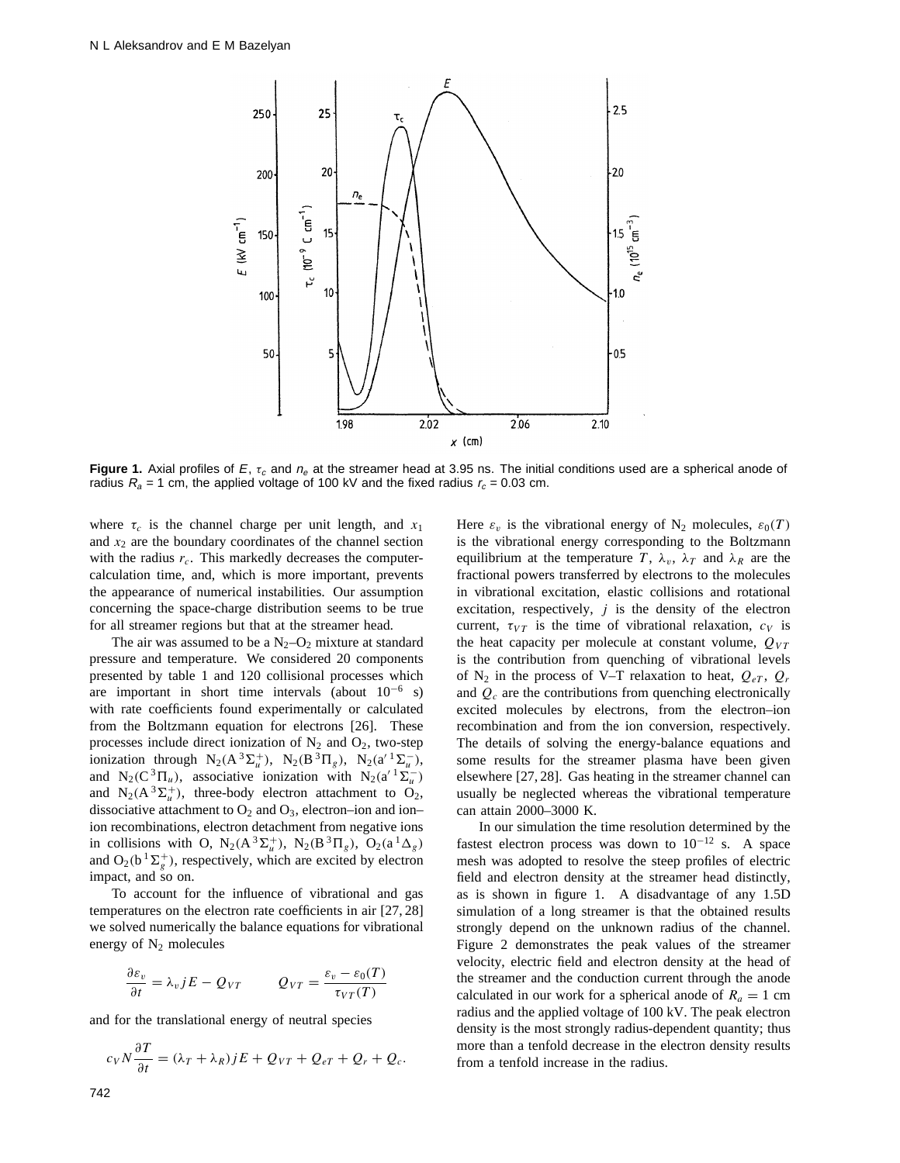

**Figure 1.** Axial profiles of  $E$ ,  $\tau_c$  and  $n_e$  at the streamer head at 3.95 ns. The initial conditions used are a spherical anode of radius  $R_a = 1$  cm, the applied voltage of 100 kV and the fixed radius  $r_c = 0.03$  cm.

where  $\tau_c$  is the channel charge per unit length, and  $x_1$ and *x*<sup>2</sup> are the boundary coordinates of the channel section with the radius  $r_c$ . This markedly decreases the computercalculation time, and, which is more important, prevents the appearance of numerical instabilities. Our assumption concerning the space-charge distribution seems to be true for all streamer regions but that at the streamer head.

The air was assumed to be a  $N_2$ –O<sub>2</sub> mixture at standard pressure and temperature. We considered 20 components presented by table 1 and 120 collisional processes which are important in short time intervals (about  $10^{-6}$  s) with rate coefficients found experimentally or calculated from the Boltzmann equation for electrons [26]. These processes include direct ionization of  $N_2$  and  $O_2$ , two-step ionization through  $N_2(A^3\Sigma_u^+)$ ,  $N_2(B^3\Pi_g)$ ,  $N_2(a'^1\Sigma_u^-)$ , and N<sub>2</sub>(C<sup>3</sup> $\Pi_u$ ), associative ionization with N<sub>2</sub>(a<sup> $1$ </sup> $\Sigma_u^-$ ) and  $N_2(A^3\Sigma_u^+)$ , three-body electron attachment to  $O_2$ , dissociative attachment to  $O_2$  and  $O_3$ , electron–ion and ion– ion recombinations, electron detachment from negative ions in collisions with O,  $N_2(A^3\Sigma_u^+)$ ,  $N_2(B^3\Pi_g)$ ,  $O_2(a^1\Delta_g)$ and  $O_2(b^1\Sigma_g^+)$ , respectively, which are excited by electron impact, and so on.

To account for the influence of vibrational and gas temperatures on the electron rate coefficients in air [27, 28] we solved numerically the balance equations for vibrational energy of  $N_2$  molecules

$$
\frac{\partial \varepsilon_v}{\partial t} = \lambda_v j E - Q_{VT} \qquad Q_{VT} = \frac{\varepsilon_v - \varepsilon_0(T)}{\tau_{VT}(T)}
$$

and for the translational energy of neutral species

$$
c_V N \frac{\partial T}{\partial t} = (\lambda_T + \lambda_R) jE + Q_{VT} + Q_{eT} + Q_r + Q_c.
$$

Here  $\varepsilon_v$  is the vibrational energy of N<sub>2</sub> molecules,  $\varepsilon_0(T)$ is the vibrational energy corresponding to the Boltzmann equilibrium at the temperature *T*,  $\lambda_v$ ,  $\lambda_T$  and  $\lambda_R$  are the fractional powers transferred by electrons to the molecules in vibrational excitation, elastic collisions and rotational excitation, respectively,  $j$  is the density of the electron current,  $\tau_{VT}$  is the time of vibrational relaxation,  $c_V$  is the heat capacity per molecule at constant volume,  $Q_{VT}$ is the contribution from quenching of vibrational levels of  $N_2$  in the process of V–T relaxation to heat,  $Q_{eT}$ ,  $Q_r$ and *Qc* are the contributions from quenching electronically excited molecules by electrons, from the electron–ion recombination and from the ion conversion, respectively. The details of solving the energy-balance equations and some results for the streamer plasma have been given elsewhere [27, 28]. Gas heating in the streamer channel can usually be neglected whereas the vibrational temperature can attain 2000–3000 K.

In our simulation the time resolution determined by the fastest electron process was down to  $10^{-12}$  s. A space mesh was adopted to resolve the steep profiles of electric field and electron density at the streamer head distinctly, as is shown in figure 1. A disadvantage of any 1.5D simulation of a long streamer is that the obtained results strongly depend on the unknown radius of the channel. Figure 2 demonstrates the peak values of the streamer velocity, electric field and electron density at the head of the streamer and the conduction current through the anode calculated in our work for a spherical anode of  $R_a = 1$  cm radius and the applied voltage of 100 kV. The peak electron density is the most strongly radius-dependent quantity; thus more than a tenfold decrease in the electron density results from a tenfold increase in the radius.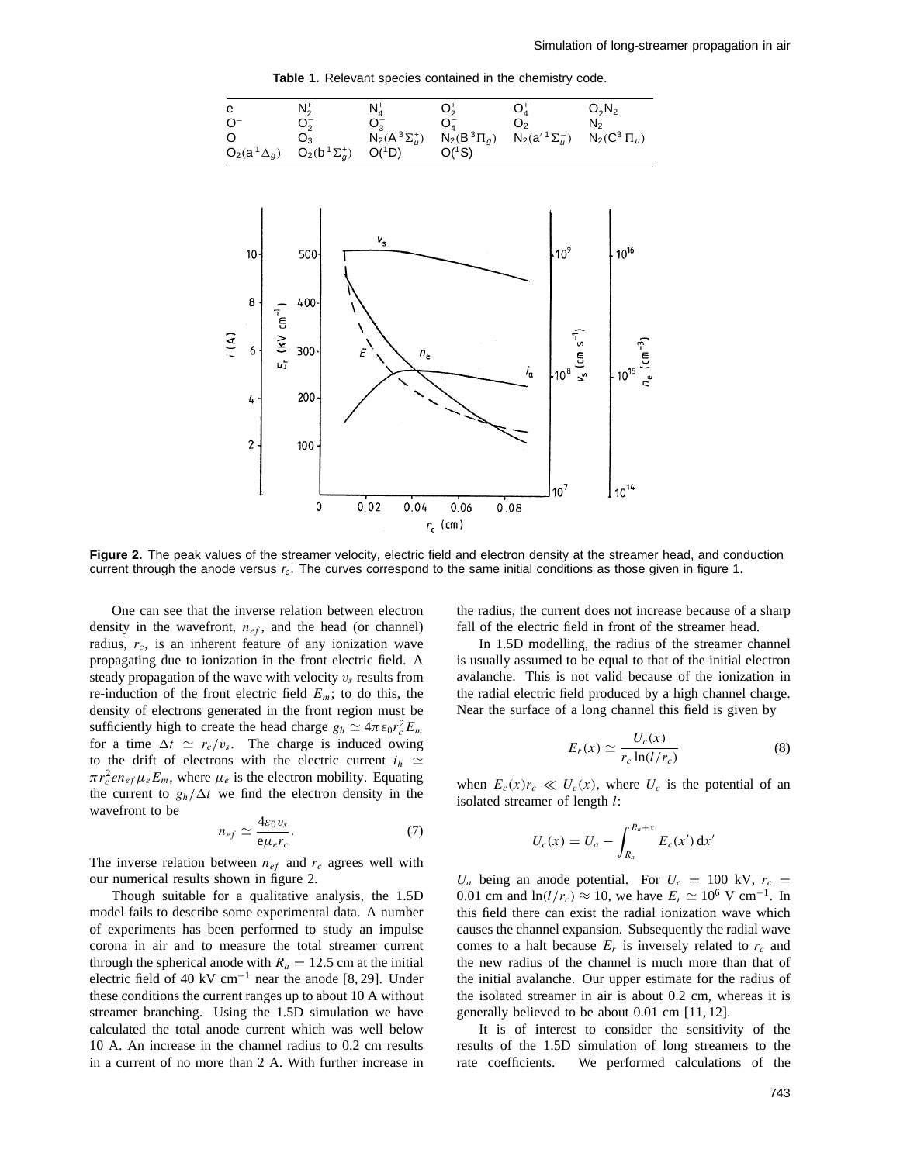**Table 1.** Relevant species contained in the chemistry code.



**Figure 2.** The peak values of the streamer velocity, electric field and electron density at the streamer head, and conduction current through the anode versus  $r_c$ . The curves correspond to the same initial conditions as those given in figure 1.

One can see that the inverse relation between electron density in the wavefront,  $n_{ef}$ , and the head (or channel) radius,  $r_c$ , is an inherent feature of any ionization wave propagating due to ionization in the front electric field. A steady propagation of the wave with velocity  $v<sub>s</sub>$  results from re-induction of the front electric field  $E_m$ ; to do this, the density of electrons generated in the front region must be sufficiently high to create the head charge  $g_h \simeq 4\pi \epsilon_0 r_c^2 E_m$ for a time  $\Delta t \simeq r_c/v_s$ . The charge is induced owing to the drift of electrons with the electric current  $i_h \simeq$  $\pi r_c^2 e n_{ef} \mu_e E_m$ , where  $\mu_e$  is the electron mobility. Equating the current to  $g_h/\Delta t$  we find the electron density in the wavefront to be

$$
n_{ef} \simeq \frac{4\varepsilon_0 v_s}{e\mu_e r_c}.\tag{7}
$$

The inverse relation between  $n_{ef}$  and  $r_c$  agrees well with our numerical results shown in figure 2.

Though suitable for a qualitative analysis, the 1.5D model fails to describe some experimental data. A number of experiments has been performed to study an impulse corona in air and to measure the total streamer current through the spherical anode with  $R_a = 12.5$  cm at the initial electric field of 40 kV cm<sup>-1</sup> near the anode [8, 29]. Under these conditions the current ranges up to about 10 A without streamer branching. Using the 1.5D simulation we have calculated the total anode current which was well below 10 A. An increase in the channel radius to 0.2 cm results in a current of no more than 2 A. With further increase in

the radius, the current does not increase because of a sharp fall of the electric field in front of the streamer head.

In 1.5D modelling, the radius of the streamer channel is usually assumed to be equal to that of the initial electron avalanche. This is not valid because of the ionization in the radial electric field produced by a high channel charge. Near the surface of a long channel this field is given by

$$
E_r(x) \simeq \frac{U_c(x)}{r_c \ln(l/r_c)}
$$
 (8)

when  $E_c(x)r_c \ll U_c(x)$ , where  $U_c$  is the potential of an isolated streamer of length *l*:

$$
U_c(x) = U_a - \int_{R_a}^{R_a+x} E_c(x') dx'
$$

 $U_a$  being an anode potential. For  $U_c = 100 \text{ kV}$ ,  $r_c =$ 0.01 cm and  $\ln(l/r_c) \approx 10$ , we have  $E_r \simeq 10^6$  V cm<sup>-1</sup>. In this field there can exist the radial ionization wave which causes the channel expansion. Subsequently the radial wave comes to a halt because  $E_r$  is inversely related to  $r_c$  and the new radius of the channel is much more than that of the initial avalanche. Our upper estimate for the radius of the isolated streamer in air is about 0.2 cm, whereas it is generally believed to be about 0.01 cm [11, 12].

It is of interest to consider the sensitivity of the results of the 1.5D simulation of long streamers to the rate coefficients. We performed calculations of the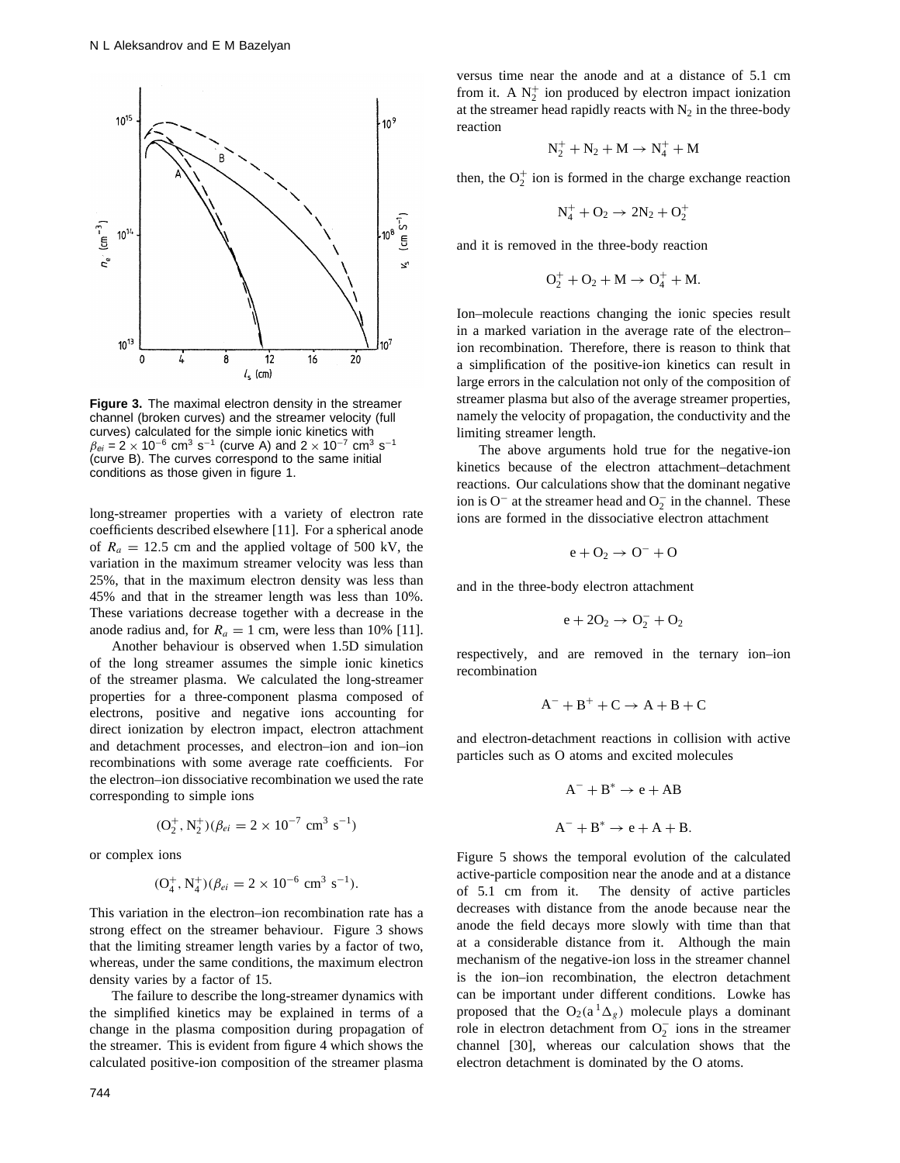

**Figure 3.** The maximal electron density in the streamer channel (broken curves) and the streamer velocity (full curves) calculated for the simple ionic kinetics with  $\beta_{ei} = 2 \times 10^{-6}$  cm<sup>3</sup> s<sup>-1</sup> (curve A) and  $2 \times 10^{-7}$  cm<sup>3</sup> s<sup>-1</sup> (curve B). The curves correspond to the same initial conditions as those given in figure 1.

long-streamer properties with a variety of electron rate coefficients described elsewhere [11]. For a spherical anode of  $R_a = 12.5$  cm and the applied voltage of 500 kV, the variation in the maximum streamer velocity was less than 25%, that in the maximum electron density was less than 45% and that in the streamer length was less than 10%. These variations decrease together with a decrease in the anode radius and, for  $R_a = 1$  cm, were less than 10% [11].

Another behaviour is observed when 1.5D simulation of the long streamer assumes the simple ionic kinetics of the streamer plasma. We calculated the long-streamer properties for a three-component plasma composed of electrons, positive and negative ions accounting for direct ionization by electron impact, electron attachment and detachment processes, and electron–ion and ion–ion recombinations with some average rate coefficients. For the electron–ion dissociative recombination we used the rate corresponding to simple ions

$$
(\text{O}_2^+, \text{N}_2^+) (\beta_{ei} = 2 \times 10^{-7} \text{ cm}^3 \text{ s}^{-1})
$$

or complex ions

$$
(\mathrm{O}_4^+, \mathrm{N}_4^+)(\beta_{ei} = 2 \times 10^{-6} \text{ cm}^3 \text{ s}^{-1}).
$$

This variation in the electron–ion recombination rate has a strong effect on the streamer behaviour. Figure 3 shows that the limiting streamer length varies by a factor of two, whereas, under the same conditions, the maximum electron density varies by a factor of 15.

The failure to describe the long-streamer dynamics with the simplified kinetics may be explained in terms of a change in the plasma composition during propagation of the streamer. This is evident from figure 4 which shows the calculated positive-ion composition of the streamer plasma

versus time near the anode and at a distance of 5.1 cm from it. A  $N_2^+$  ion produced by electron impact ionization at the streamer head rapidly reacts with  $N_2$  in the three-body reaction

$$
N_2^++N_2+M\rightarrow N_4^++M
$$

then, the  $O_2^+$  ion is formed in the charge exchange reaction

$$
N_4^+ + \mathrm{O_2} \rightarrow 2N_2 + \mathrm{O_2^+}
$$

and it is removed in the three-body reaction

$$
\mathrm{O_2^+} + \mathrm{O_2} + \mathrm{M} \rightarrow \mathrm{O_4^+} + \mathrm{M}.
$$

Ion–molecule reactions changing the ionic species result in a marked variation in the average rate of the electron– ion recombination. Therefore, there is reason to think that a simplification of the positive-ion kinetics can result in large errors in the calculation not only of the composition of streamer plasma but also of the average streamer properties, namely the velocity of propagation, the conductivity and the limiting streamer length.

The above arguments hold true for the negative-ion kinetics because of the electron attachment–detachment reactions. Our calculations show that the dominant negative ion is O<sup>-</sup> at the streamer head and  $O_2^-$  in the channel. These ions are formed in the dissociative electron attachment

$$
e + O_2 \rightarrow O^- + O
$$

and in the three-body electron attachment

$$
e + 2O_2 \rightarrow O_2^- + O_2
$$

respectively, and are removed in the ternary ion–ion recombination

$$
A^- + B^+ + C \rightarrow A + B + C
$$

and electron-detachment reactions in collision with active particles such as O atoms and excited molecules

$$
A^- + B^* \to e + AB
$$
  

$$
A^- + B^* \to e + A + B.
$$

Figure 5 shows the temporal evolution of the calculated active-particle composition near the anode and at a distance of 5.1 cm from it. The density of active particles decreases with distance from the anode because near the anode the field decays more slowly with time than that at a considerable distance from it. Although the main mechanism of the negative-ion loss in the streamer channel is the ion–ion recombination, the electron detachment can be important under different conditions. Lowke has proposed that the  $O_2(a^1\Delta_\rho)$  molecule plays a dominant role in electron detachment from  $O_2^-$  ions in the streamer channel [30], whereas our calculation shows that the electron detachment is dominated by the O atoms.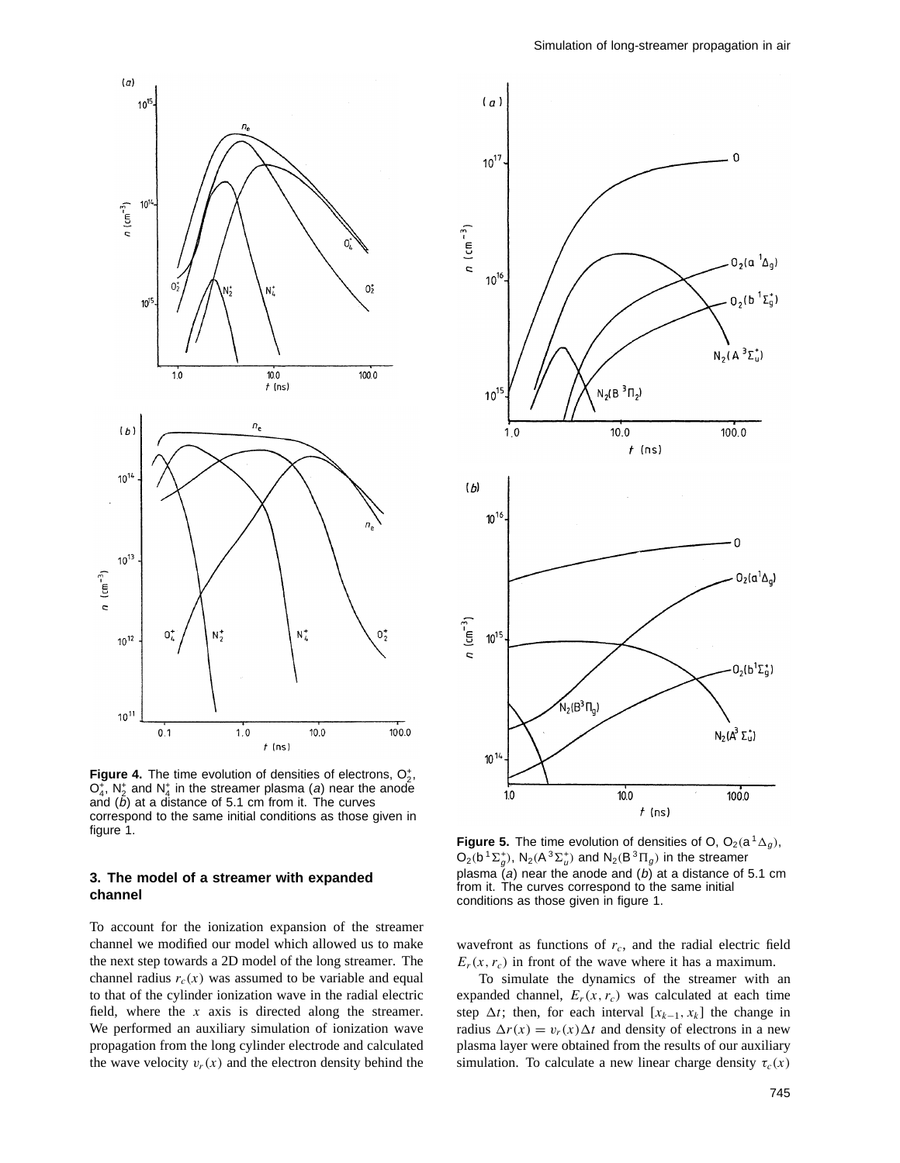

**Figure 4.** The time evolution of densities of electrons,  $O_2^*$ ,  $O_4^+$ ,  $N_2^+$  and  $N_4^+$  in the streamer plasma (a) near the anode and  $(b)$  at a distance of 5.1 cm from it. The curves correspond to the same initial conditions as those given in figure 1.

### **3. The model of a streamer with expanded channel**

To account for the ionization expansion of the streamer channel we modified our model which allowed us to make the next step towards a 2D model of the long streamer. The channel radius  $r_c(x)$  was assumed to be variable and equal to that of the cylinder ionization wave in the radial electric field, where the *x* axis is directed along the streamer. We performed an auxiliary simulation of ionization wave propagation from the long cylinder electrode and calculated the wave velocity  $v_r(x)$  and the electron density behind the



**Figure 5.** The time evolution of densities of O,  $O_2(a^1\Delta_q)$ ,  $O_2(b^1\Sigma_g^*)$ ,  $N_2(A^3\Sigma_g^*)$  and  $N_2(B^3\Pi_g)$  in the streamer plasma  $(a)$  near the anode and  $(b)$  at a distance of 5.1 cm from it. The curves correspond to the same initial conditions as those given in figure 1.

wavefront as functions of *rc*, and the radial electric field  $E_r(x, r_c)$  in front of the wave where it has a maximum.

To simulate the dynamics of the streamer with an expanded channel,  $E_r(x, r_c)$  was calculated at each time step  $\Delta t$ ; then, for each interval  $[x_{k-1}, x_k]$  the change in radius  $\Delta r(x) = v_r(x) \Delta t$  and density of electrons in a new plasma layer were obtained from the results of our auxiliary simulation. To calculate a new linear charge density  $\tau_c(x)$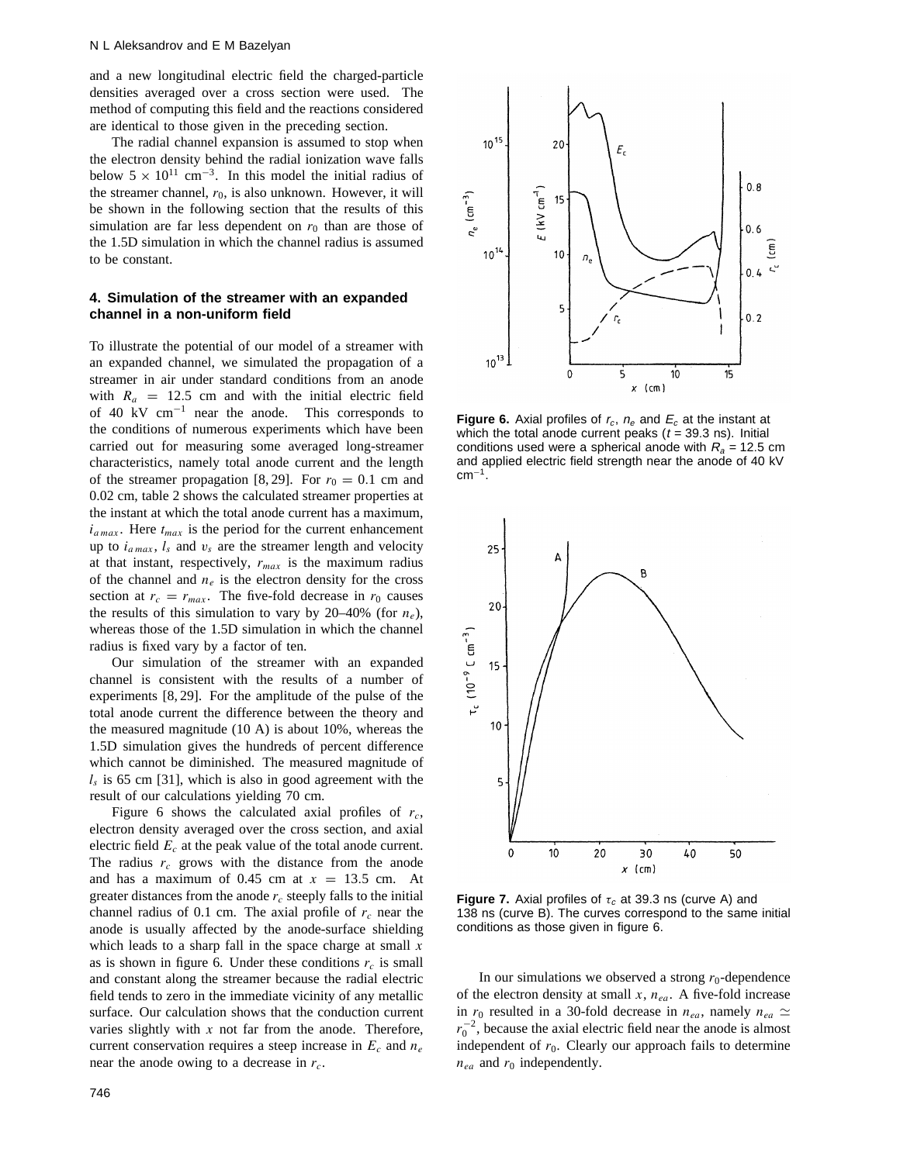and a new longitudinal electric field the charged-particle densities averaged over a cross section were used. The method of computing this field and the reactions considered are identical to those given in the preceding section.

The radial channel expansion is assumed to stop when the electron density behind the radial ionization wave falls below  $5 \times 10^{11}$  cm<sup>-3</sup>. In this model the initial radius of the streamer channel,  $r_0$ , is also unknown. However, it will be shown in the following section that the results of this simulation are far less dependent on  $r_0$  than are those of the 1.5D simulation in which the channel radius is assumed to be constant.

## **4. Simulation of the streamer with an expanded channel in a non-uniform field**

To illustrate the potential of our model of a streamer with an expanded channel, we simulated the propagation of a streamer in air under standard conditions from an anode with  $R_a = 12.5$  cm and with the initial electric field of 40 kV cm<sup>−</sup><sup>1</sup> near the anode. This corresponds to the conditions of numerous experiments which have been carried out for measuring some averaged long-streamer characteristics, namely total anode current and the length of the streamer propagation [8, 29]. For  $r_0 = 0.1$  cm and 0.02 cm, table 2 shows the calculated streamer properties at the instant at which the total anode current has a maximum,  $i_{a max}$ . Here  $t_{max}$  is the period for the current enhancement up to  $i_{a max}$ ,  $l_s$  and  $v_s$  are the streamer length and velocity at that instant, respectively, *rmax* is the maximum radius of the channel and  $n_e$  is the electron density for the cross section at  $r_c = r_{max}$ . The five-fold decrease in  $r_0$  causes the results of this simulation to vary by 20–40% (for  $n_e$ ), whereas those of the 1.5D simulation in which the channel radius is fixed vary by a factor of ten.

Our simulation of the streamer with an expanded channel is consistent with the results of a number of experiments [8, 29]. For the amplitude of the pulse of the total anode current the difference between the theory and the measured magnitude (10 A) is about 10%, whereas the 1.5D simulation gives the hundreds of percent difference which cannot be diminished. The measured magnitude of  $l<sub>s</sub>$  is 65 cm [31], which is also in good agreement with the result of our calculations yielding 70 cm.

Figure 6 shows the calculated axial profiles of  $r_c$ , electron density averaged over the cross section, and axial electric field *Ec* at the peak value of the total anode current. The radius  $r_c$  grows with the distance from the anode and has a maximum of  $0.45$  cm at  $x = 13.5$  cm. At greater distances from the anode *rc* steeply falls to the initial channel radius of 0.1 cm. The axial profile of  $r_c$  near the anode is usually affected by the anode-surface shielding which leads to a sharp fall in the space charge at small *x* as is shown in figure 6. Under these conditions  $r_c$  is small and constant along the streamer because the radial electric field tends to zero in the immediate vicinity of any metallic surface. Our calculation shows that the conduction current varies slightly with *x* not far from the anode. Therefore, current conservation requires a steep increase in *Ec* and *ne* near the anode owing to a decrease in *rc*.



**Figure 6.** Axial profiles of  $r_c$ ,  $n_e$  and  $E_c$  at the instant at which the total anode current peaks  $(t = 39.3 \text{ ns})$ . Initial conditions used were a spherical anode with  $R_a = 12.5$  cm and applied electric field strength near the anode of 40 kV  $cm<sup>-1</sup>$ .



**Figure 7.** Axial profiles of  $\tau_c$  at 39.3 ns (curve A) and 138 ns (curve B). The curves correspond to the same initial conditions as those given in figure 6.

In our simulations we observed a strong  $r_0$ -dependence of the electron density at small *x*, *nea*. A five-fold increase in  $r_0$  resulted in a 30-fold decrease in  $n_{ea}$ , namely  $n_{ea} \simeq$  $r_0^{-2}$ , because the axial electric field near the anode is almost independent of  $r_0$ . Clearly our approach fails to determine  $n_{ea}$  and  $r_0$  independently.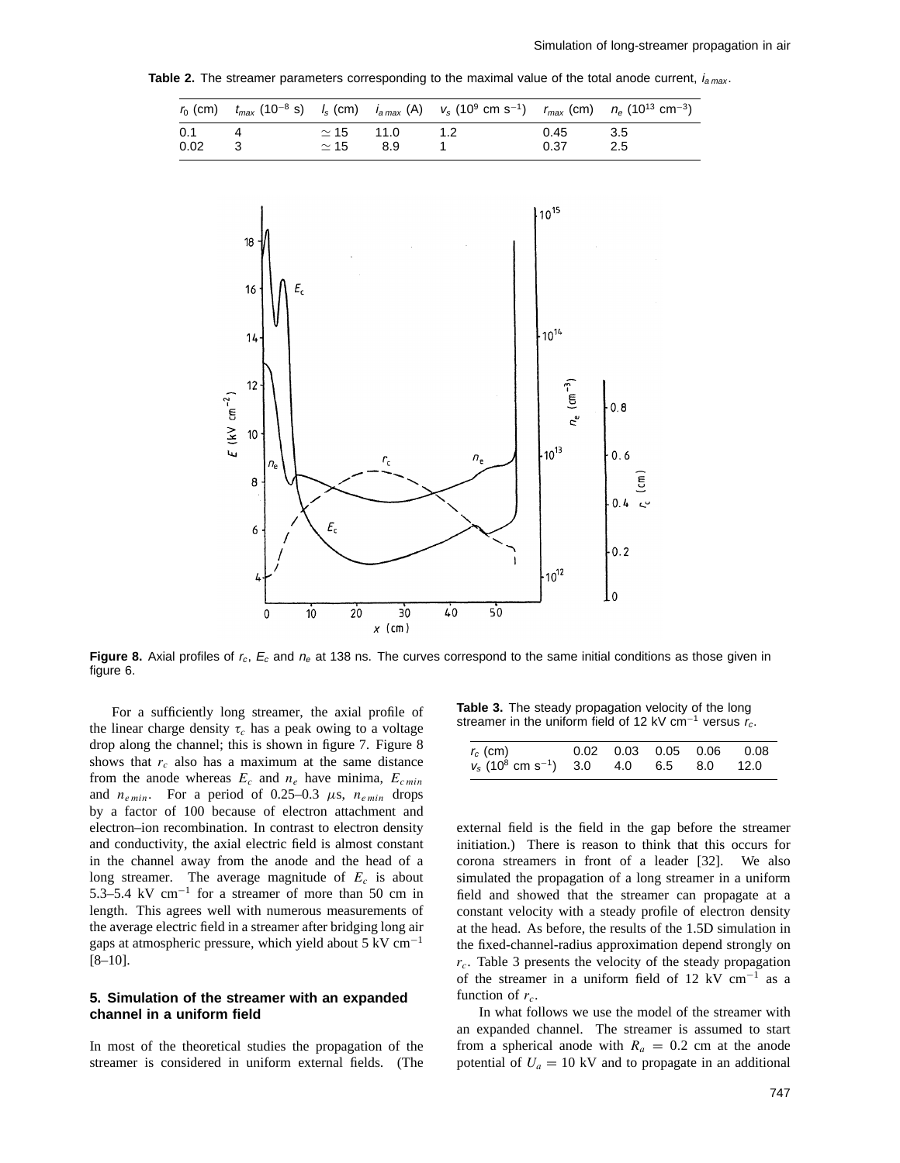**Table 2.** The streamer parameters corresponding to the maximal value of the total anode current,  $i_{a max}$ .

|      |                  |     | $r_0$ (cm) $t_{max}$ (10 <sup>-8</sup> s) $l_s$ (cm) $i_{a max}$ (A) $v_s$ (10 <sup>9</sup> cm s <sup>-1</sup> ) $r_{max}$ (cm) $n_e$ (10 <sup>13</sup> cm <sup>-3</sup> ) |      |      |
|------|------------------|-----|----------------------------------------------------------------------------------------------------------------------------------------------------------------------------|------|------|
| 0.1  | $\simeq$ 15 11.0 |     |                                                                                                                                                                            | 0.45 | -3.5 |
| 0.02 | $\simeq$ 15      | 8.9 |                                                                                                                                                                            | 0.37 | 2.5  |



**Figure 8.** Axial profiles of  $r_c$ ,  $E_c$  and  $n_e$  at 138 ns. The curves correspond to the same initial conditions as those given in figure 6.

For a sufficiently long streamer, the axial profile of the linear charge density  $\tau_c$  has a peak owing to a voltage drop along the channel; this is shown in figure 7. Figure 8 shows that  $r_c$  also has a maximum at the same distance from the anode whereas  $E_c$  and  $n_e$  have minima,  $E_{c min}$ and *ne min*. For a period of 0.25–0.3 *µ*s, *ne min* drops by a factor of 100 because of electron attachment and electron–ion recombination. In contrast to electron density and conductivity, the axial electric field is almost constant in the channel away from the anode and the head of a long streamer. The average magnitude of *Ec* is about 5.3–5.4 kV cm<sup>−</sup><sup>1</sup> for a streamer of more than 50 cm in length. This agrees well with numerous measurements of the average electric field in a streamer after bridging long air gaps at atmospheric pressure, which yield about 5 kV  $cm^{-1}$ [8–10].

#### **5. Simulation of the streamer with an expanded channel in a uniform field**

In most of the theoretical studies the propagation of the streamer is considered in uniform external fields. (The

**Table 3.** The steady propagation velocity of the long streamer in the uniform field of 12 kV cm<sup>-1</sup> versus  $r_c$ .

| $r_c$ (cm)                                                       |  |  | $0.02$ 0.03 0.05 0.06 0.08 |
|------------------------------------------------------------------|--|--|----------------------------|
| $v_s$ (10 <sup>8</sup> cm s <sup>-1</sup> ) 3.0 4.0 6.5 8.0 12.0 |  |  |                            |

external field is the field in the gap before the streamer initiation.) There is reason to think that this occurs for corona streamers in front of a leader [32]. We also simulated the propagation of a long streamer in a uniform field and showed that the streamer can propagate at a constant velocity with a steady profile of electron density at the head. As before, the results of the 1.5D simulation in the fixed-channel-radius approximation depend strongly on *rc*. Table 3 presents the velocity of the steady propagation of the streamer in a uniform field of 12 kV  $cm^{-1}$  as a function of  $r_c$ .

In what follows we use the model of the streamer with an expanded channel. The streamer is assumed to start from a spherical anode with  $R_a = 0.2$  cm at the anode potential of  $U_a = 10 \text{ kV}$  and to propagate in an additional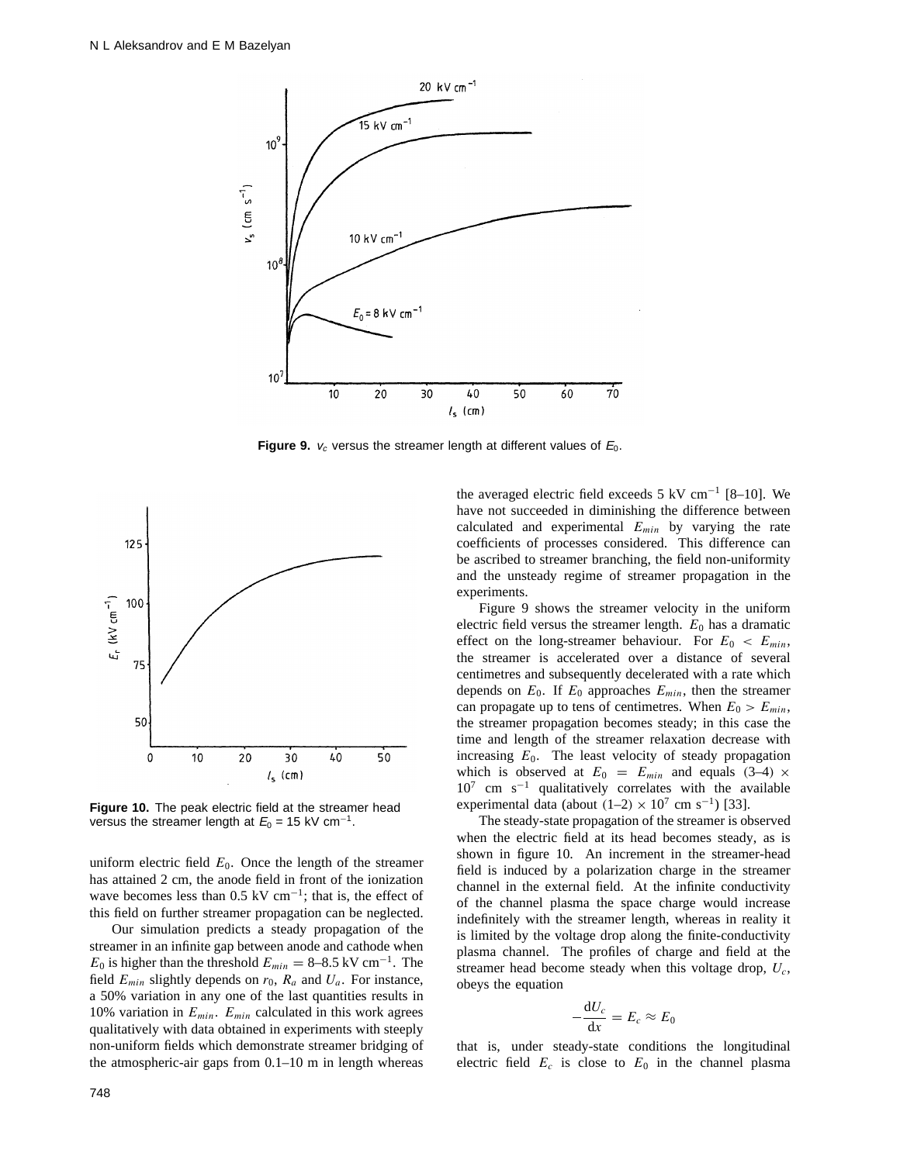

**Figure 9.**  $v_c$  versus the streamer length at different values of  $E_0$ .



**Figure 10.** The peak electric field at the streamer head versus the streamer length at  $E_0 = 15$  kV cm<sup>-1</sup>.

uniform electric field  $E_0$ . Once the length of the streamer has attained 2 cm, the anode field in front of the ionization wave becomes less than 0.5 kV cm<sup>-1</sup>; that is, the effect of this field on further streamer propagation can be neglected.

Our simulation predicts a steady propagation of the streamer in an infinite gap between anode and cathode when *E*<sub>0</sub> is higher than the threshold  $E_{min} = 8-8.5 \text{ kV cm}^{-1}$ . The field  $E_{min}$  slightly depends on  $r_0$ ,  $R_a$  and  $U_a$ . For instance, a 50% variation in any one of the last quantities results in 10% variation in *Emin*. *Emin* calculated in this work agrees qualitatively with data obtained in experiments with steeply non-uniform fields which demonstrate streamer bridging of the atmospheric-air gaps from 0.1–10 m in length whereas the averaged electric field exceeds 5 kV cm<sup>-1</sup> [8–10]. We have not succeeded in diminishing the difference between calculated and experimental *Emin* by varying the rate coefficients of processes considered. This difference can be ascribed to streamer branching, the field non-uniformity and the unsteady regime of streamer propagation in the experiments.

Figure 9 shows the streamer velocity in the uniform electric field versus the streamer length.  $E_0$  has a dramatic effect on the long-streamer behaviour. For  $E_0 \leq E_{min}$ , the streamer is accelerated over a distance of several centimetres and subsequently decelerated with a rate which depends on  $E_0$ . If  $E_0$  approaches  $E_{min}$ , then the streamer can propagate up to tens of centimetres. When  $E_0 > E_{min}$ , the streamer propagation becomes steady; in this case the time and length of the streamer relaxation decrease with increasing  $E_0$ . The least velocity of steady propagation which is observed at  $E_0 = E_{min}$  and equals (3–4) × 10<sup>7</sup> cm s<sup>−</sup><sup>1</sup> qualitatively correlates with the available experimental data (about  $(1–2) \times 10^7$  cm s<sup>-1</sup>) [33].

The steady-state propagation of the streamer is observed when the electric field at its head becomes steady, as is shown in figure 10. An increment in the streamer-head field is induced by a polarization charge in the streamer channel in the external field. At the infinite conductivity of the channel plasma the space charge would increase indefinitely with the streamer length, whereas in reality it is limited by the voltage drop along the finite-conductivity plasma channel. The profiles of charge and field at the streamer head become steady when this voltage drop, *Uc*, obeys the equation

$$
-\frac{\mathrm{d}U_c}{\mathrm{d}x}=E_c\approx E_0
$$

that is, under steady-state conditions the longitudinal electric field  $E_c$  is close to  $E_0$  in the channel plasma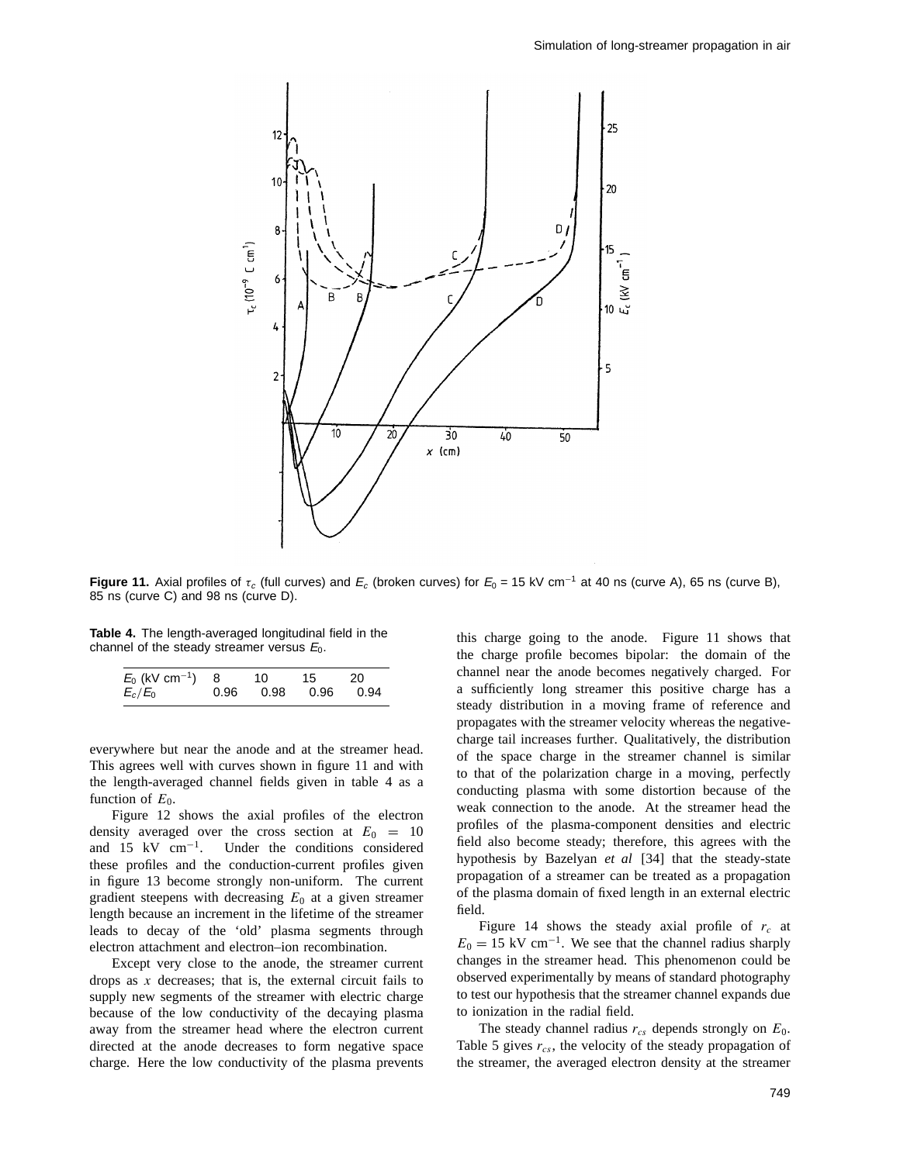

**Figure 11.** Axial profiles of  $\tau_c$  (full curves) and  $E_c$  (broken curves) for  $E_0 = 15$  kV cm<sup>-1</sup> at 40 ns (curve A), 65 ns (curve B), 85 ns (curve C) and 98 ns (curve D).

**Table 4.** The length-averaged longitudinal field in the channel of the steady streamer versus  $E_0$ .

| $E_0$ (kV cm $^{-1}$ ) 8 |      | 10 | 15 | - 20 |
|--------------------------|------|----|----|------|
| $E_c/E_0$                | 0.96 |    |    | 0.94 |

everywhere but near the anode and at the streamer head. This agrees well with curves shown in figure 11 and with the length-averaged channel fields given in table 4 as a function of  $E_0$ .

Figure 12 shows the axial profiles of the electron density averaged over the cross section at  $E_0 = 10$  and 15 kV  $cm^{-1}$ . Under the conditions considered Under the conditions considered these profiles and the conduction-current profiles given in figure 13 become strongly non-uniform. The current gradient steepens with decreasing  $E_0$  at a given streamer length because an increment in the lifetime of the streamer leads to decay of the 'old' plasma segments through electron attachment and electron–ion recombination.

Except very close to the anode, the streamer current drops as *x* decreases; that is, the external circuit fails to supply new segments of the streamer with electric charge because of the low conductivity of the decaying plasma away from the streamer head where the electron current directed at the anode decreases to form negative space charge. Here the low conductivity of the plasma prevents this charge going to the anode. Figure 11 shows that the charge profile becomes bipolar: the domain of the channel near the anode becomes negatively charged. For a sufficiently long streamer this positive charge has a steady distribution in a moving frame of reference and propagates with the streamer velocity whereas the negativecharge tail increases further. Qualitatively, the distribution of the space charge in the streamer channel is similar to that of the polarization charge in a moving, perfectly conducting plasma with some distortion because of the weak connection to the anode. At the streamer head the profiles of the plasma-component densities and electric field also become steady; therefore, this agrees with the hypothesis by Bazelyan *et al* [34] that the steady-state propagation of a streamer can be treated as a propagation of the plasma domain of fixed length in an external electric field.

Figure 14 shows the steady axial profile of *rc* at  $E_0 = 15$  kV cm<sup>-1</sup>. We see that the channel radius sharply changes in the streamer head. This phenomenon could be observed experimentally by means of standard photography to test our hypothesis that the streamer channel expands due to ionization in the radial field.

The steady channel radius  $r_{cs}$  depends strongly on  $E_0$ . Table 5 gives *rcs*, the velocity of the steady propagation of the streamer, the averaged electron density at the streamer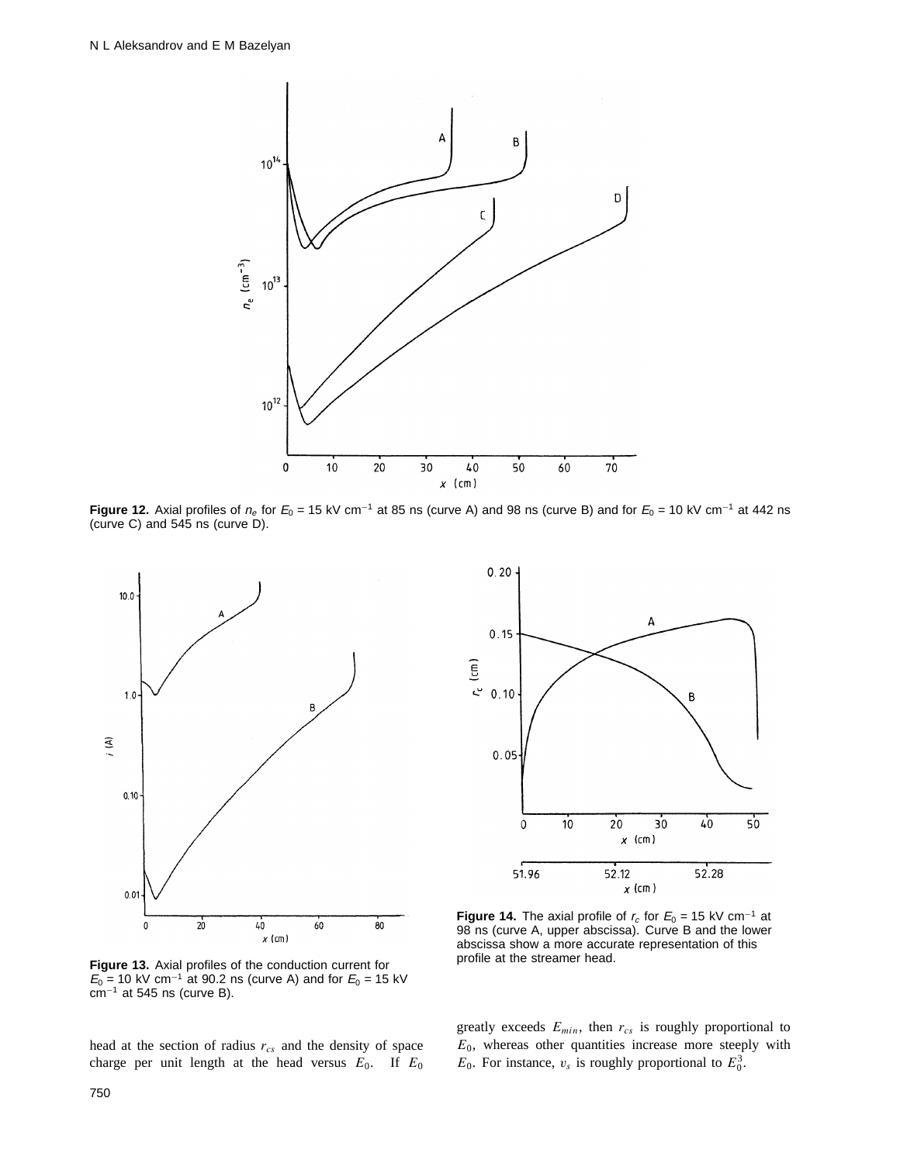

**Figure 12.** Axial profiles of  $n_e$  for  $E_0 = 15$  kV cm<sup>-1</sup> at 85 ns (curve A) and 98 ns (curve B) and for  $E_0 = 10$  kV cm<sup>-1</sup> at 442 ns (curve C) and 545 ns (curve D).





**Figure 14.** The axial profile of  $r_c$  for  $E_0 = 15$  kV cm<sup>-1</sup> at 98 ns (curve A, upper abscissa). Curve B and the lower abscissa show a more accurate representation of this profile at the streamer head.

**Figure 13.** Axial profiles of the conduction current for  $E_0$  = 10 kV cm<sup>-1</sup> at 90.2 ns (curve A) and for  $E_0$  = 15 kV  $cm^{-1}$  at 545 ns (curve B).

head at the section of radius *rcs* and the density of space charge per unit length at the head versus  $E_0$ . If  $E_0$  greatly exceeds *Emin*, then *rcs* is roughly proportional to  $E_0$ , whereas other quantities increase more steeply with  $E_0$ . For instance,  $v_s$  is roughly proportional to  $E_0^3$ .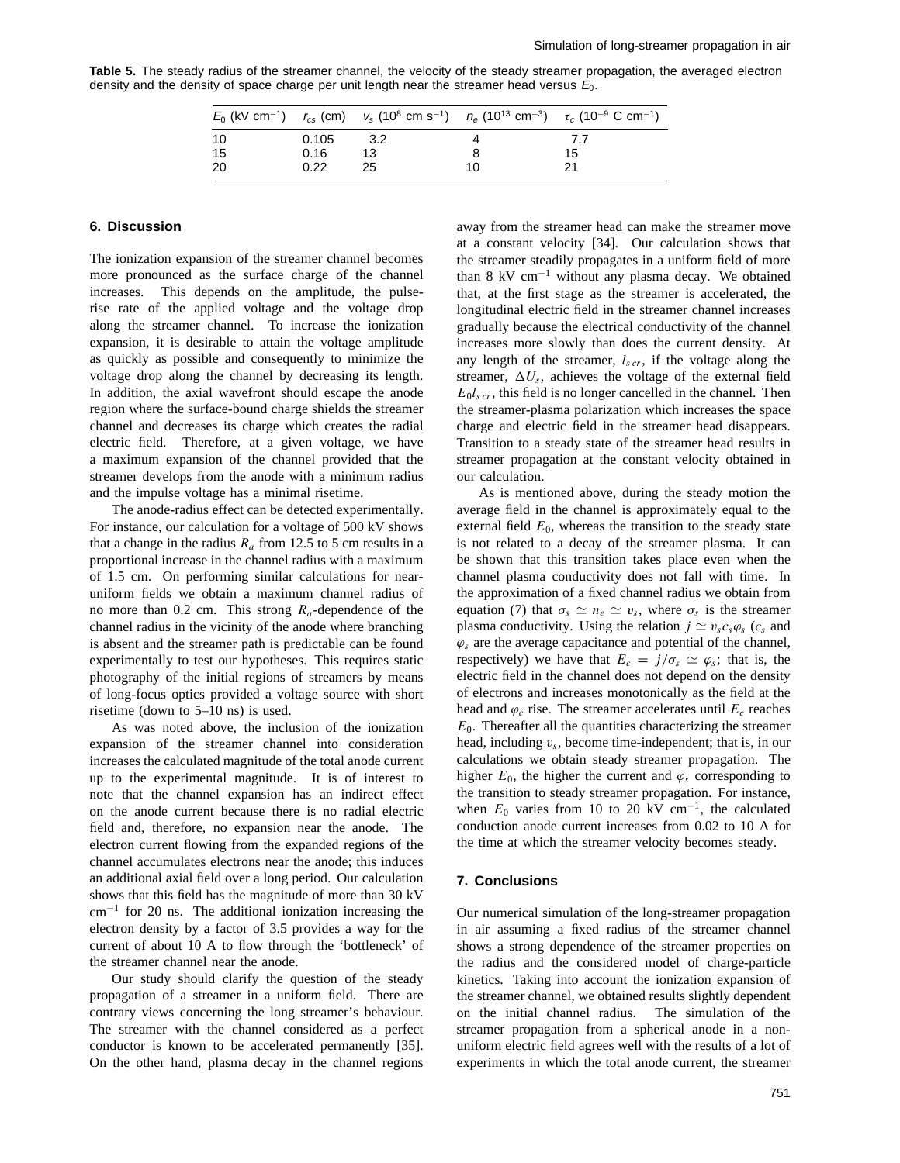**Table 5.** The steady radius of the streamer channel, the velocity of the steady streamer propagation, the averaged electron density and the density of space charge per unit length near the streamer head versus  $E_0$ .

|     |       |       |    | $E_0$ (kV cm <sup>-1</sup> ) $r_{cs}$ (cm) $v_s$ (10 <sup>8</sup> cm s <sup>-1</sup> ) $n_e$ (10 <sup>13</sup> cm <sup>-3</sup> ) $\tau_c$ (10 <sup>-9</sup> C cm <sup>-1</sup> ) |
|-----|-------|-------|----|-----------------------------------------------------------------------------------------------------------------------------------------------------------------------------------|
| -10 | 0.105 | - 3.2 |    | 7.7                                                                                                                                                                               |
| 15  | 0.16  | 13    |    | 15                                                                                                                                                                                |
| -20 | 0.22  | 25    | 10 |                                                                                                                                                                                   |

# **6. Discussion**

The ionization expansion of the streamer channel becomes more pronounced as the surface charge of the channel increases. This depends on the amplitude, the pulserise rate of the applied voltage and the voltage drop along the streamer channel. To increase the ionization expansion, it is desirable to attain the voltage amplitude as quickly as possible and consequently to minimize the voltage drop along the channel by decreasing its length. In addition, the axial wavefront should escape the anode region where the surface-bound charge shields the streamer channel and decreases its charge which creates the radial electric field. Therefore, at a given voltage, we have a maximum expansion of the channel provided that the streamer develops from the anode with a minimum radius and the impulse voltage has a minimal risetime.

The anode-radius effect can be detected experimentally. For instance, our calculation for a voltage of 500 kV shows that a change in the radius  $R_a$  from 12.5 to 5 cm results in a proportional increase in the channel radius with a maximum of 1.5 cm. On performing similar calculations for nearuniform fields we obtain a maximum channel radius of no more than 0.2 cm. This strong *Ra*-dependence of the channel radius in the vicinity of the anode where branching is absent and the streamer path is predictable can be found experimentally to test our hypotheses. This requires static photography of the initial regions of streamers by means of long-focus optics provided a voltage source with short risetime (down to 5–10 ns) is used.

As was noted above, the inclusion of the ionization expansion of the streamer channel into consideration increases the calculated magnitude of the total anode current up to the experimental magnitude. It is of interest to note that the channel expansion has an indirect effect on the anode current because there is no radial electric field and, therefore, no expansion near the anode. The electron current flowing from the expanded regions of the channel accumulates electrons near the anode; this induces an additional axial field over a long period. Our calculation shows that this field has the magnitude of more than 30 kV cm<sup>−</sup><sup>1</sup> for 20 ns. The additional ionization increasing the electron density by a factor of 3.5 provides a way for the current of about 10 A to flow through the 'bottleneck' of the streamer channel near the anode.

Our study should clarify the question of the steady propagation of a streamer in a uniform field. There are contrary views concerning the long streamer's behaviour. The streamer with the channel considered as a perfect conductor is known to be accelerated permanently [35]. On the other hand, plasma decay in the channel regions

away from the streamer head can make the streamer move at a constant velocity [34]. Our calculation shows that the streamer steadily propagates in a uniform field of more than 8 kV cm<sup>−</sup><sup>1</sup> without any plasma decay. We obtained that, at the first stage as the streamer is accelerated, the longitudinal electric field in the streamer channel increases gradually because the electrical conductivity of the channel increases more slowly than does the current density. At any length of the streamer, *ls cr*, if the voltage along the streamer,  $\Delta U_s$ , achieves the voltage of the external field  $E_0 l_{scr}$ , this field is no longer cancelled in the channel. Then the streamer-plasma polarization which increases the space charge and electric field in the streamer head disappears. Transition to a steady state of the streamer head results in streamer propagation at the constant velocity obtained in our calculation.

As is mentioned above, during the steady motion the average field in the channel is approximately equal to the external field  $E_0$ , whereas the transition to the steady state is not related to a decay of the streamer plasma. It can be shown that this transition takes place even when the channel plasma conductivity does not fall with time. In the approximation of a fixed channel radius we obtain from equation (7) that  $\sigma_s \simeq n_e \simeq v_s$ , where  $\sigma_s$  is the streamer plasma conductivity. Using the relation  $j \simeq v_s c_s \varphi_s$  ( $c_s$  and  $\varphi_s$  are the average capacitance and potential of the channel, respectively) we have that  $E_c = j/\sigma_s \simeq \varphi_s$ ; that is, the electric field in the channel does not depend on the density of electrons and increases monotonically as the field at the head and  $\varphi_c$  rise. The streamer accelerates until  $E_c$  reaches  $E_0$ . Thereafter all the quantities characterizing the streamer head, including *vs*, become time-independent; that is, in our calculations we obtain steady streamer propagation. The higher  $E_0$ , the higher the current and  $\varphi_s$  corresponding to the transition to steady streamer propagation. For instance, when  $E_0$  varies from 10 to 20 kV cm<sup>-1</sup>, the calculated conduction anode current increases from 0.02 to 10 A for the time at which the streamer velocity becomes steady.

#### **7. Conclusions**

Our numerical simulation of the long-streamer propagation in air assuming a fixed radius of the streamer channel shows a strong dependence of the streamer properties on the radius and the considered model of charge-particle kinetics. Taking into account the ionization expansion of the streamer channel, we obtained results slightly dependent on the initial channel radius. The simulation of the streamer propagation from a spherical anode in a nonuniform electric field agrees well with the results of a lot of experiments in which the total anode current, the streamer